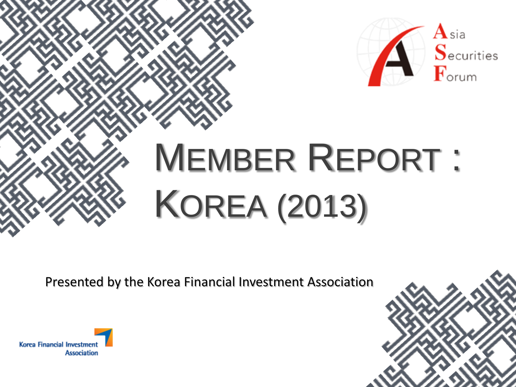

# MEMBER REPORT : KOREA (2013)

Presented by the Korea Financial Investment Association



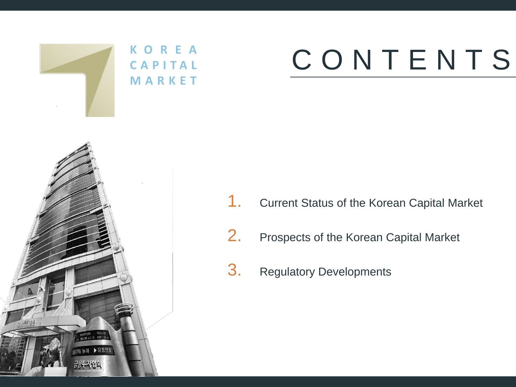

## CONTENTS

- 1. Current Status of the Korean Capital Market
- 2. Prospects of the Korean Capital Market
- 3. Regulatory Developments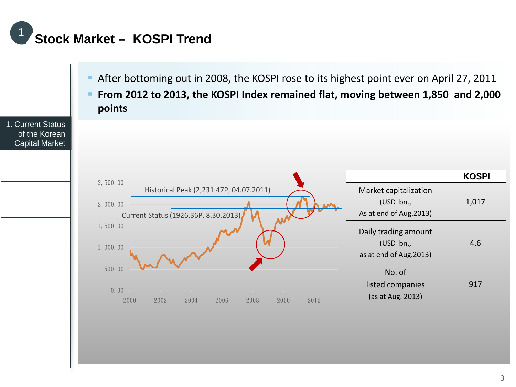

0.00 500.00 1,000.00 1,500.00 2,000.00 2,500.00 2000 2002 2004 2006 2008 2010 2012 1. Current Status of the Korean Capital Market After bottoming out in 2008, the KOSPI rose to its highest point ever on April 27, 2011 **From 2012 to 2013, the KOSPI Index remained flat, moving between 1,850 and 2,000 points KOSPI** Market capitalization (USD bn., As at end of Aug.2013) 1,017 Daily trading amount (USD bn., as at end of Aug.2013) 4.6 No. of listed companies (as at Aug. 2013) 917 Historical Peak (2,231.47P, 04.07.2011) Current Status (1926.36P, 8.30.2013)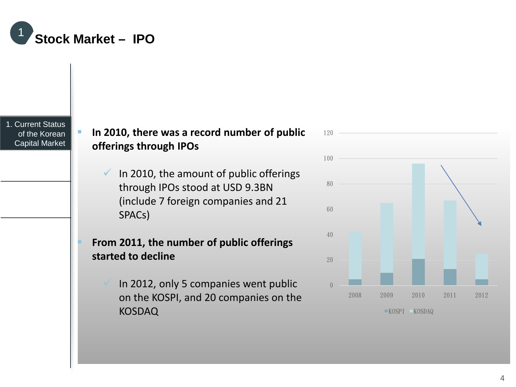

1. Current Status of the Korean Capital Market

#### **In 2010, there was a record number of public offerings through IPOs**

- $\checkmark$  In 2010, the amount of public offerings through IPOs stood at USD 9.3BN (include 7 foreign companies and 21 SPACs)
- **From 2011, the number of public offerings started to decline**
	- In 2012, only 5 companies went public on the KOSPI, and 20 companies on the KOSDAQ

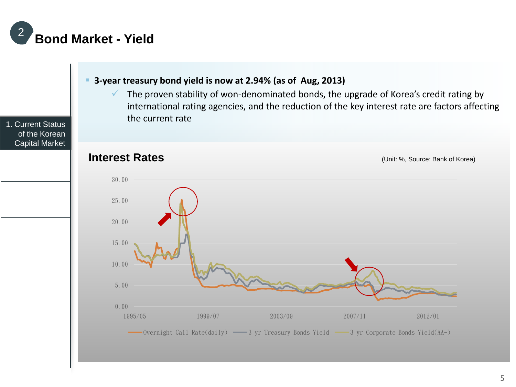

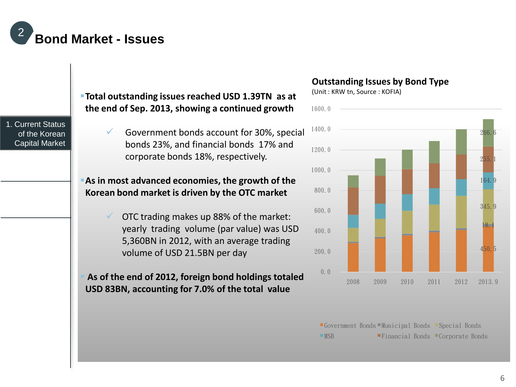

1. Current Status of the Korean Capital Market **Total outstanding issues reached USD 1.39TN as at the end of Sep. 2013, showing a continued growth** Government bonds account for 30%, special bonds 23%, and financial bonds 17% and corporate bonds 18%, respectively. **As in most advanced economies, the growth of the Korean bond market is driven by the OTC market** OTC trading makes up 88% of the market: yearly trading volume (par value) was USD 5,360BN in 2012, with an average trading volume of USD 21.5BN per day **As of the end of 2012, foreign bond holdings totaled USD 83BN, accounting for 7.0% of the total value** 0.0 200.0 400.0 600.0 800.0 1000.0 1200.0 1400.0 1600.0 Government Bonds Municipal Bonds Special Bonds MSB Financial Bonds Corporate Bonds

#### **Outstanding Issues by Bond Type**

(Unit : KRW tn, Source : KOFIA)



<sup>6</sup>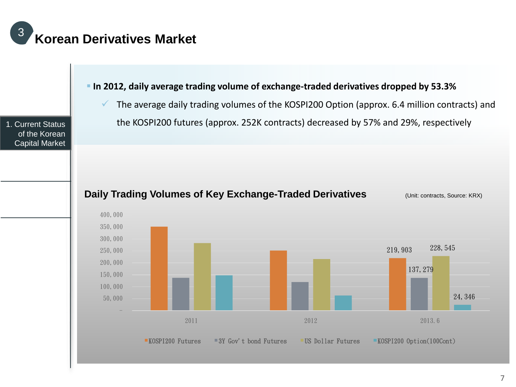

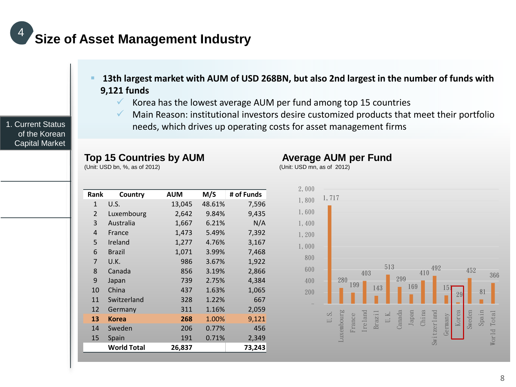### **Size of Asset Management Industry**

- **13th largest market with AUM of USD 268BN, but also 2nd largest in the number of funds with 9,121 funds**
	- Korea has the lowest average AUM per fund among top 15 countries
	- $\checkmark$  Main Reason: institutional investors desire customized products that meet their portfolio needs, which drives up operating costs for asset management firms

(Unit: USD mn, as of 2012)

**Average AUM per Fund**

#### **Top 15 Countries by AUM**

(Unit: USD bn, %, as of 2012)

| Rank         | Country            | <b>AUM</b> | M/S    | # of Funds |
|--------------|--------------------|------------|--------|------------|
|              |                    |            |        |            |
| $\mathbf{1}$ | U.S.               | 13,045     | 48.61% | 7,596      |
| 2            | Luxembourg         | 2,642      | 9.84%  | 9,435      |
| 3            | Australia          | 1,667      | 6.21%  | N/A        |
| 4            | France             | 1,473      | 5.49%  | 7,392      |
| 5            | Ireland            | 1,277      | 4.76%  | 3,167      |
| 6            | Brazil             | 1,071      | 3.99%  | 7,468      |
| 7            | U.K.               | 986        | 3.67%  | 1,922      |
| 8            | Canada             | 856        | 3.19%  | 2,866      |
| 9            | Japan              | 739        | 2.75%  | 4,384      |
| 10           | China              | 437        | 1.63%  | 1,065      |
| 11           | Switzerland        | 328        | 1.22%  | 667        |
| 12           | Germany            | 311        | 1.16%  | 2,059      |
| 13           | <b>Korea</b>       | 268        | 1.00%  | 9,121      |
| 14           | Sweden             | 206        | 0.77%  | 456        |
| 15           | Spain              | 191        | 0.71%  | 2,349      |
|              | <b>World Total</b> | 26,837     |        | 73,243     |



1. Current Status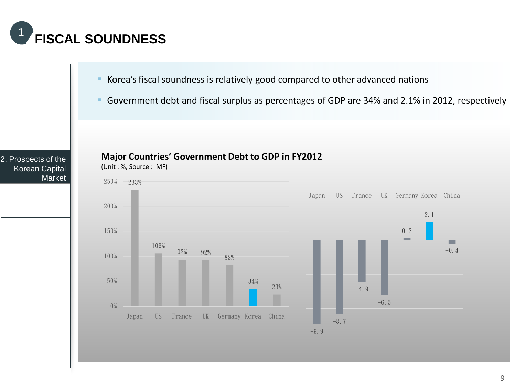

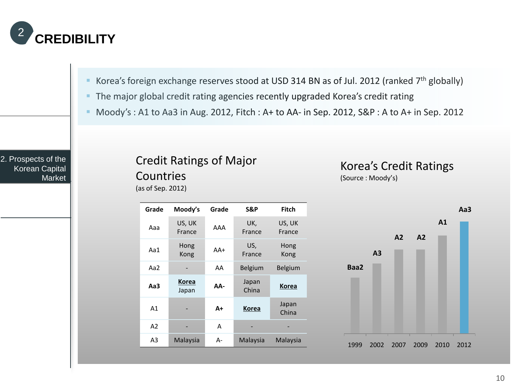

- Korea's foreign exchange reserves stood at USD 314 BN as of Jul. 2012 (ranked 7<sup>th</sup> globally)
- The major global credit rating agencies recently upgraded Korea's credit rating
- Moody's : A1 to Aa3 in Aug. 2012, Fitch : A+ to AA- in Sep. 2012, S&P : A to A+ in Sep. 2012

#### 2. Prospects of the Korean Capital Market

#### Credit Ratings of Major Countries

(as of Sep. 2012)

Korea's Credit Ratings (Source : Moody's)



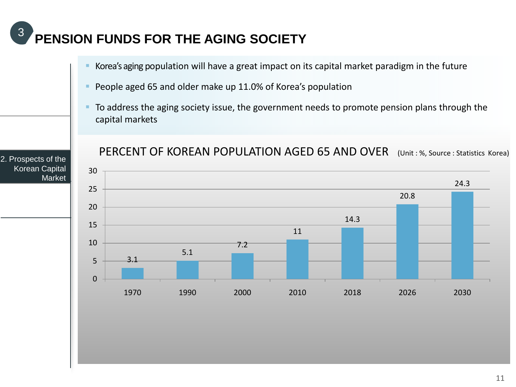### **PENSION FUNDS FOR THE AGING SOCIETY** <sup>3</sup>

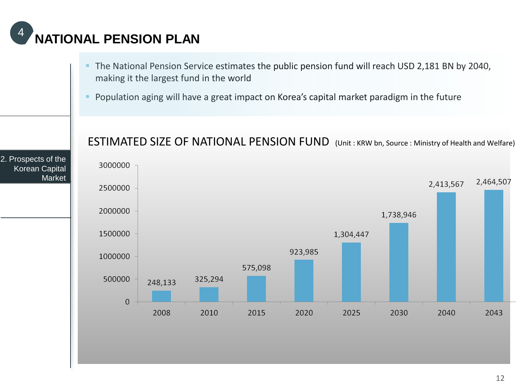### **NATIONAL PENSION PLAN**

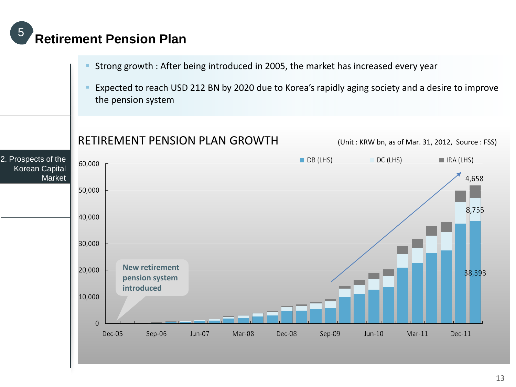#### **Retirement Pension Plan**

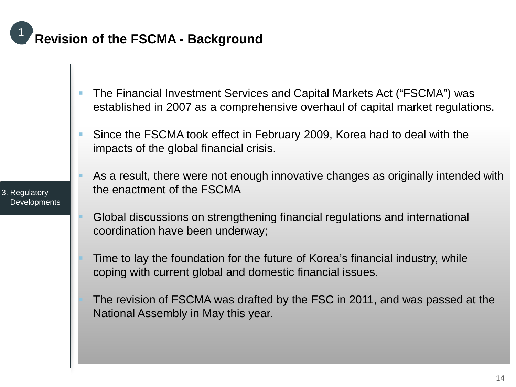### **Revision of the FSCMA - Background**

- The Financial Investment Services and Capital Markets Act ("FSCMA") was established in 2007 as a comprehensive overhaul of capital market regulations.
- Since the FSCMA took effect in February 2009, Korea had to deal with the impacts of the global financial crisis.
- As a result, there were not enough innovative changes as originally intended with the enactment of the FSCMA
- Global discussions on strengthening financial regulations and international coordination have been underway;
- Time to lay the foundation for the future of Korea's financial industry, while coping with current global and domestic financial issues.
- The revision of FSCMA was drafted by the FSC in 2011, and was passed at the National Assembly in May this year.

3. Regulatory **Developments**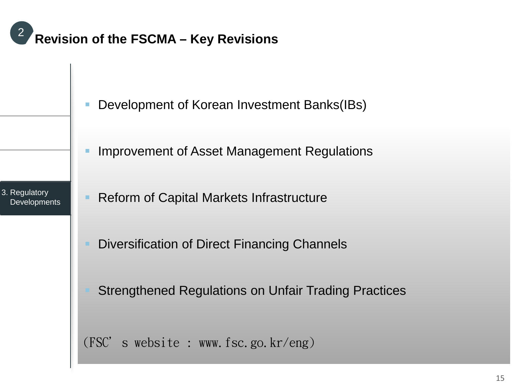### **Revision of the FSCMA – Key Revisions** <sup>2</sup>

- Development of Korean Investment Banks(IBs)
	- Improvement of Asset Management Regulations
- 3. Regulatory **Developments**
- Reform of Capital Markets Infrastructure
	- Diversification of Direct Financing Channels
	- Strengthened Regulations on Unfair Trading Practices
	- (FSC's website : www.fsc.go.kr/eng)